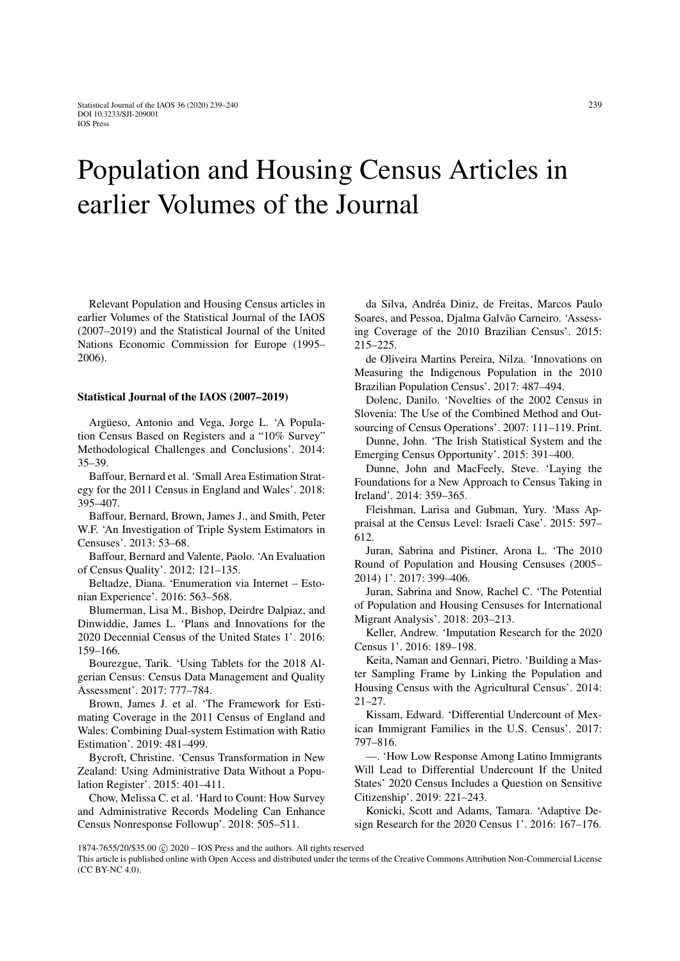## Population and Housing Census Articles in earlier Volumes of the Journal

Relevant Population and Housing Census articles in earlier Volumes of the Statistical Journal of the IAOS (2007–2019) and the Statistical Journal of the United Nations Economic Commission for Europe (1995– 2006).

## Statistical Journal of the IAOS (2007–2019)

Argüeso, Antonio and Vega, Jorge L. 'A Population Census Based on Registers and a "10% Survey" Methodological Challenges and Conclusions'. 2014: 35–39.

Baffour, Bernard et al. 'Small Area Estimation Strategy for the 2011 Census in England and Wales'. 2018: 395–407.

Baffour, Bernard, Brown, James J., and Smith, Peter W.F. 'An Investigation of Triple System Estimators in Censuses'. 2013: 53–68.

Baffour, Bernard and Valente, Paolo. 'An Evaluation of Census Quality'. 2012: 121–135.

Beltadze, Diana. 'Enumeration via Internet – Estonian Experience'. 2016: 563–568.

Blumerman, Lisa M., Bishop, Deirdre Dalpiaz, and Dinwiddie, James L. 'Plans and Innovations for the 2020 Decennial Census of the United States 1'. 2016: 159–166.

Bourezgue, Tarik. 'Using Tablets for the 2018 Algerian Census: Census Data Management and Quality Assessment'. 2017: 777–784.

Brown, James J. et al. 'The Framework for Estimating Coverage in the 2011 Census of England and Wales: Combining Dual-system Estimation with Ratio Estimation'. 2019: 481–499.

Bycroft, Christine. 'Census Transformation in New Zealand: Using Administrative Data Without a Population Register'. 2015: 401–411.

Chow, Melissa C. et al. 'Hard to Count: How Survey and Administrative Records Modeling Can Enhance Census Nonresponse Followup'. 2018: 505–511.

da Silva, Andréa Diniz, de Freitas, Marcos Paulo Soares, and Pessoa, Djalma Galvão Carneiro. 'Assessing Coverage of the 2010 Brazilian Census'. 2015: 215–225.

de Oliveira Martins Pereira, Nilza. 'Innovations on Measuring the Indigenous Population in the 2010 Brazilian Population Census'. 2017: 487–494.

Dolenc, Danilo. 'Novelties of the 2002 Census in Slovenia: The Use of the Combined Method and Outsourcing of Census Operations'. 2007: 111–119. Print.

Dunne, John. 'The Irish Statistical System and the Emerging Census Opportunity'. 2015: 391–400.

Dunne, John and MacFeely, Steve. 'Laying the Foundations for a New Approach to Census Taking in Ireland'. 2014: 359–365.

Fleishman, Larisa and Gubman, Yury. 'Mass Appraisal at the Census Level: Israeli Case'. 2015: 597– 612.

Juran, Sabrina and Pistiner, Arona L. 'The 2010 Round of Population and Housing Censuses (2005– 2014) 1'. 2017: 399–406.

Juran, Sabrina and Snow, Rachel C. 'The Potential of Population and Housing Censuses for International Migrant Analysis'. 2018: 203–213.

Keller, Andrew. 'Imputation Research for the 2020 Census 1'. 2016: 189–198.

Keita, Naman and Gennari, Pietro. 'Building a Master Sampling Frame by Linking the Population and Housing Census with the Agricultural Census'. 2014: 21–27.

Kissam, Edward. 'Differential Undercount of Mexican Immigrant Families in the U.S. Census'. 2017: 797–816.

—. 'How Low Response Among Latino Immigrants Will Lead to Differential Undercount If the United States' 2020 Census Includes a Question on Sensitive Citizenship'. 2019: 221–243.

Konicki, Scott and Adams, Tamara. 'Adaptive Design Research for the 2020 Census 1'. 2016: 167–176.

This article is published online with Open Access and distributed under the terms of the Creative Commons Attribution Non-Commercial License (CC BY-NC 4.0).

<sup>1874-7655/20/\$35.00</sup> c 2020 – IOS Press and the authors. All rights reserved